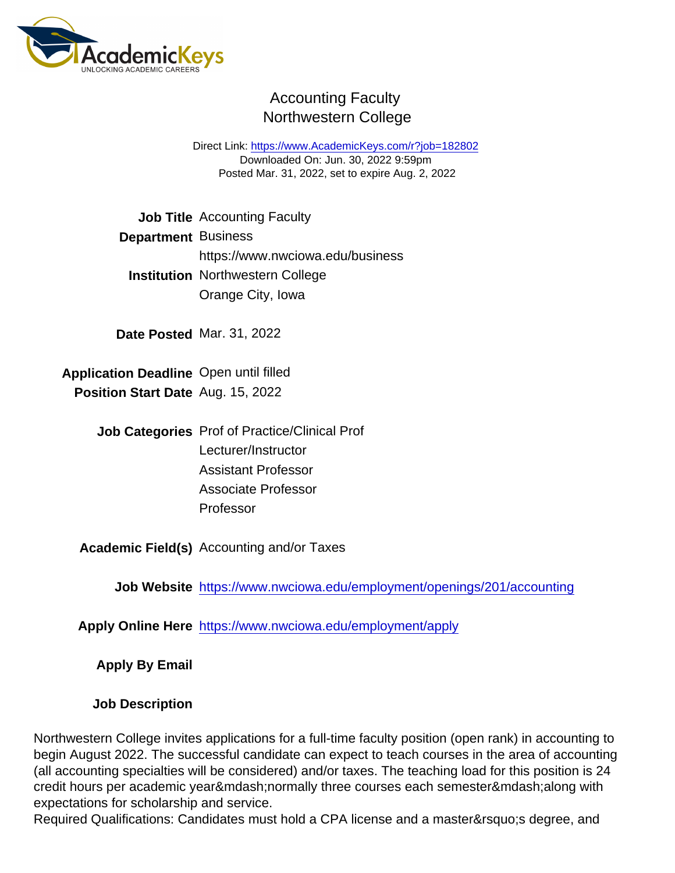## Accounting Faculty Northwestern College

Direct Link: <https://www.AcademicKeys.com/r?job=182802> Downloaded On: Jun. 30, 2022 9:59pm Posted Mar. 31, 2022, set to expire Aug. 2, 2022

|                             | Job Title Accounting Faculty                               |
|-----------------------------|------------------------------------------------------------|
| Department Business         |                                                            |
|                             | https://www.nwciowa.edu/business                           |
| Institution                 | <b>Northwestern College</b>                                |
|                             | Orange City, Iowa                                          |
|                             | Date Posted Mar. 31, 2022                                  |
| <b>Application Deadline</b> | Open until filled                                          |
| <b>Position Start Date</b>  | Aug. 15, 2022                                              |
| <b>Job Categories</b>       | <b>Prof of Practice/Clinical Prof</b>                      |
|                             | Lecturer/Instructor                                        |
|                             | <b>Assistant Professor</b>                                 |
|                             | <b>Associate Professor</b>                                 |
|                             | Professor                                                  |
| Academic Field(s)           | <b>Accounting and/or Taxes</b>                             |
| <b>Job Website</b>          | https://www.nwciowa.edu/employment/openings/201/accounting |
| <b>Apply Online Here</b>    | https://www.nwciowa.edu/employment/apply                   |
| Apply By Email              |                                                            |

Job Description

Northwestern College invites applications for a full-time faculty position (open rank) in accounting to begin August 2022. The successful candidate can expect to teach courses in the area of accounting (all accounting specialties will be considered) and/or taxes. The teaching load for this position is 24 credit hours per academic year—normally three courses each semester—along with expectations for scholarship and service.

Required Qualifications: Candidates must hold a CPA license and a master's degree, and